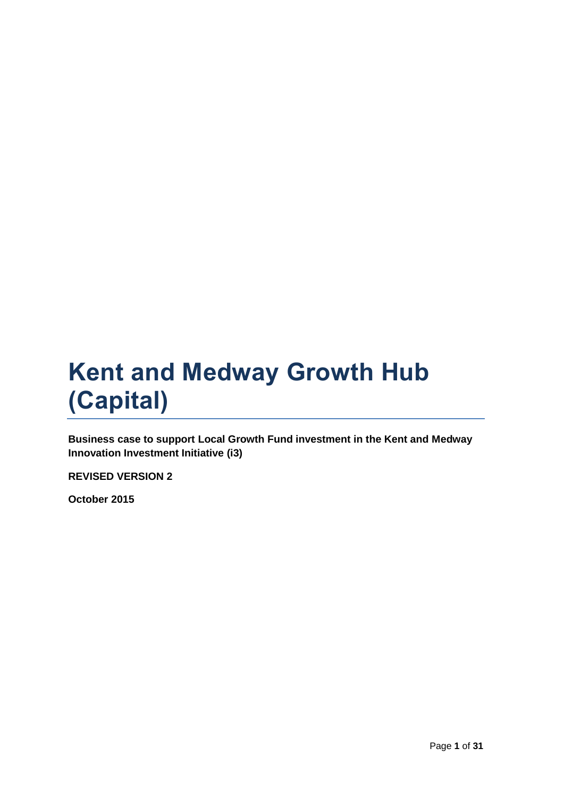# **Kent and Medway Growth Hub (Capital)**

**Business case to support Local Growth Fund investment in the Kent and Medway Innovation Investment Initiative (i3)**

**REVISED VERSION 2**

**October 2015**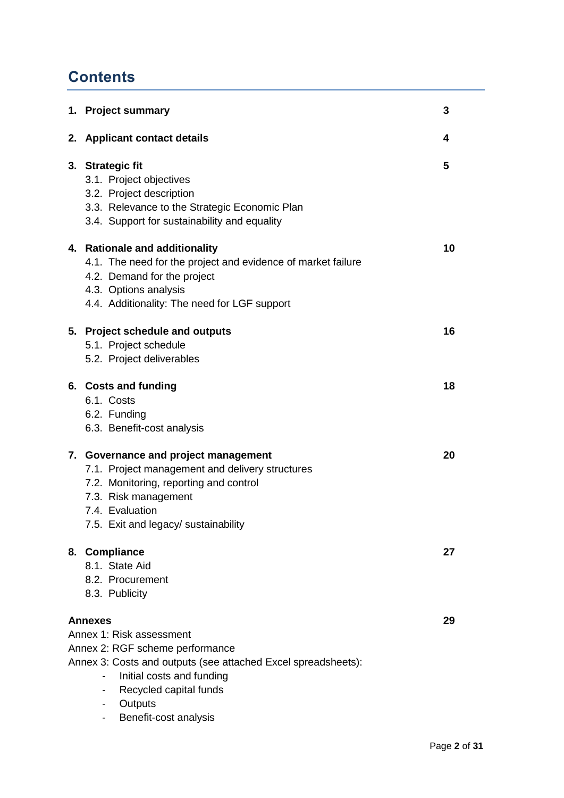# **Contents**

| 1. Project summary                                                                                                                                                                                                                        | 3  |
|-------------------------------------------------------------------------------------------------------------------------------------------------------------------------------------------------------------------------------------------|----|
| 2. Applicant contact details                                                                                                                                                                                                              | 4  |
| 3. Strategic fit<br>3.1. Project objectives<br>3.2. Project description<br>3.3. Relevance to the Strategic Economic Plan<br>3.4. Support for sustainability and equality                                                                  | 5  |
| 4. Rationale and additionality<br>4.1. The need for the project and evidence of market failure<br>4.2. Demand for the project<br>4.3. Options analysis<br>4.4. Additionality: The need for LGF support                                    | 10 |
| 5. Project schedule and outputs<br>5.1. Project schedule<br>5.2. Project deliverables                                                                                                                                                     | 16 |
| 6. Costs and funding<br>6.1. Costs<br>6.2. Funding<br>6.3. Benefit-cost analysis                                                                                                                                                          | 18 |
| 7. Governance and project management<br>7.1. Project management and delivery structures<br>7.2. Monitoring, reporting and control<br>7.3. Risk management<br>7.4. Evaluation<br>7.5. Exit and legacy/ sustainability                      | 20 |
| 8. Compliance<br>8.1. State Aid<br>8.2. Procurement<br>8.3. Publicity                                                                                                                                                                     | 27 |
| <b>Annexes</b><br>Annex 1: Risk assessment<br>Annex 2: RGF scheme performance<br>Annex 3: Costs and outputs (see attached Excel spreadsheets):<br>Initial costs and funding<br>Recycled capital funds<br>Outputs<br>Benefit-cost analysis | 29 |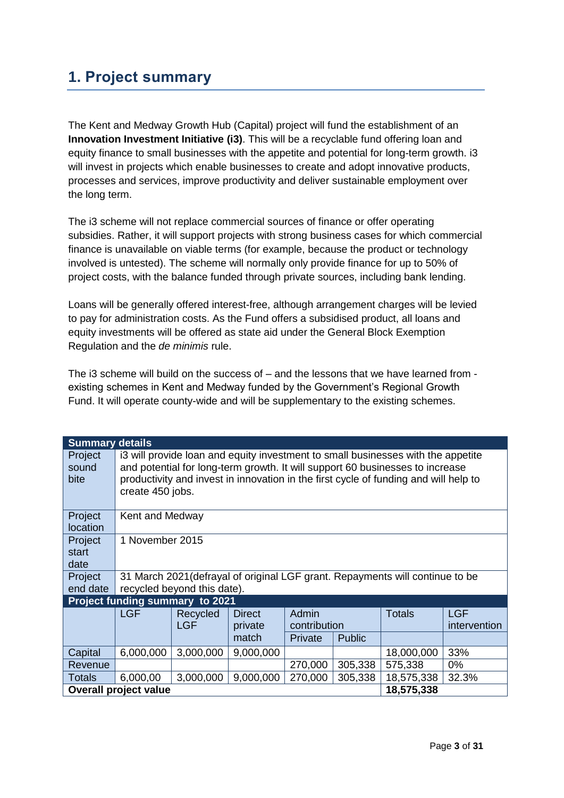# **1. Project summary**

The Kent and Medway Growth Hub (Capital) project will fund the establishment of an **Innovation Investment Initiative (i3)**. This will be a recyclable fund offering loan and equity finance to small businesses with the appetite and potential for long-term growth. i3 will invest in projects which enable businesses to create and adopt innovative products, processes and services, improve productivity and deliver sustainable employment over the long term.

The i3 scheme will not replace commercial sources of finance or offer operating subsidies. Rather, it will support projects with strong business cases for which commercial finance is unavailable on viable terms (for example, because the product or technology involved is untested). The scheme will normally only provide finance for up to 50% of project costs, with the balance funded through private sources, including bank lending.

Loans will be generally offered interest-free, although arrangement charges will be levied to pay for administration costs. As the Fund offers a subsidised product, all loans and equity investments will be offered as state aid under the General Block Exemption Regulation and the *de minimis* rule.

The i3 scheme will build on the success of – and the lessons that we have learned from existing schemes in Kent and Medway funded by the Government's Regional Growth Fund. It will operate county-wide and will be supplementary to the existing schemes.

| <b>Summary details</b>                     |                                                                                                                                                                                                                                                                               |                                 |               |              |  |               |              |  |  |
|--------------------------------------------|-------------------------------------------------------------------------------------------------------------------------------------------------------------------------------------------------------------------------------------------------------------------------------|---------------------------------|---------------|--------------|--|---------------|--------------|--|--|
| Project<br>sound<br>bite                   | i3 will provide loan and equity investment to small businesses with the appetite<br>and potential for long-term growth. It will support 60 businesses to increase<br>productivity and invest in innovation in the first cycle of funding and will help to<br>create 450 jobs. |                                 |               |              |  |               |              |  |  |
| Project                                    | Kent and Medway                                                                                                                                                                                                                                                               |                                 |               |              |  |               |              |  |  |
| location                                   |                                                                                                                                                                                                                                                                               |                                 |               |              |  |               |              |  |  |
| Project                                    | 1 November 2015                                                                                                                                                                                                                                                               |                                 |               |              |  |               |              |  |  |
| start                                      |                                                                                                                                                                                                                                                                               |                                 |               |              |  |               |              |  |  |
| date                                       |                                                                                                                                                                                                                                                                               |                                 |               |              |  |               |              |  |  |
| Project                                    | 31 March 2021 (defrayal of original LGF grant. Repayments will continue to be                                                                                                                                                                                                 |                                 |               |              |  |               |              |  |  |
| end date                                   | recycled beyond this date).                                                                                                                                                                                                                                                   |                                 |               |              |  |               |              |  |  |
|                                            |                                                                                                                                                                                                                                                                               | Project funding summary to 2021 |               |              |  |               |              |  |  |
|                                            | <b>LGF</b>                                                                                                                                                                                                                                                                    | Recycled                        | <b>Direct</b> | Admin        |  | <b>Totals</b> | <b>LGF</b>   |  |  |
|                                            |                                                                                                                                                                                                                                                                               | <b>LGF</b>                      | private       | contribution |  |               | intervention |  |  |
|                                            | match<br><b>Public</b><br>Private                                                                                                                                                                                                                                             |                                 |               |              |  |               |              |  |  |
| Capital                                    | 6,000,000                                                                                                                                                                                                                                                                     | 3,000,000                       | 9,000,000     |              |  | 18,000,000    | 33%          |  |  |
| Revenue                                    | 305,338<br>0%<br>270,000<br>575,338                                                                                                                                                                                                                                           |                                 |               |              |  |               |              |  |  |
| <b>Totals</b>                              | 3,000,000<br>9,000,000<br>305,338<br>18,575,338<br>32.3%<br>6,000,00<br>270,000                                                                                                                                                                                               |                                 |               |              |  |               |              |  |  |
| 18,575,338<br><b>Overall project value</b> |                                                                                                                                                                                                                                                                               |                                 |               |              |  |               |              |  |  |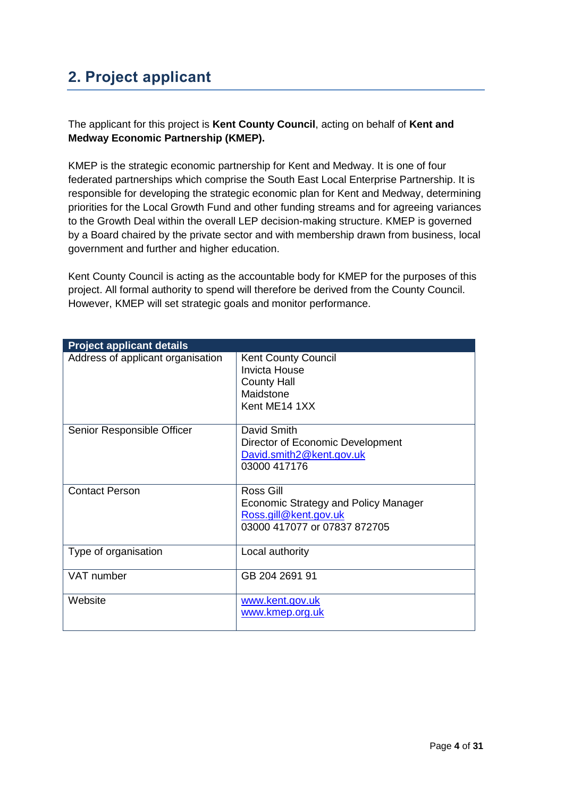# **2. Project applicant**

The applicant for this project is **Kent County Council**, acting on behalf of **Kent and Medway Economic Partnership (KMEP).** 

KMEP is the strategic economic partnership for Kent and Medway. It is one of four federated partnerships which comprise the South East Local Enterprise Partnership. It is responsible for developing the strategic economic plan for Kent and Medway, determining priorities for the Local Growth Fund and other funding streams and for agreeing variances to the Growth Deal within the overall LEP decision-making structure. KMEP is governed by a Board chaired by the private sector and with membership drawn from business, local government and further and higher education.

Kent County Council is acting as the accountable body for KMEP for the purposes of this project. All formal authority to spend will therefore be derived from the County Council. However, KMEP will set strategic goals and monitor performance.

| <b>Project applicant details</b>  |                                                                                                            |
|-----------------------------------|------------------------------------------------------------------------------------------------------------|
| Address of applicant organisation | <b>Kent County Council</b><br><b>Invicta House</b><br><b>County Hall</b><br>Maidstone<br>Kent ME14 1XX     |
| Senior Responsible Officer        | David Smith<br>Director of Economic Development<br>David.smith2@kent.gov.uk<br>03000 417176                |
| <b>Contact Person</b>             | Ross Gill<br>Economic Strategy and Policy Manager<br>Ross.gill@kent.gov.uk<br>03000 417077 or 07837 872705 |
| Type of organisation              | Local authority                                                                                            |
| VAT number                        | GB 204 2691 91                                                                                             |
| Website                           | www.kent.gov.uk<br>www.kmep.org.uk                                                                         |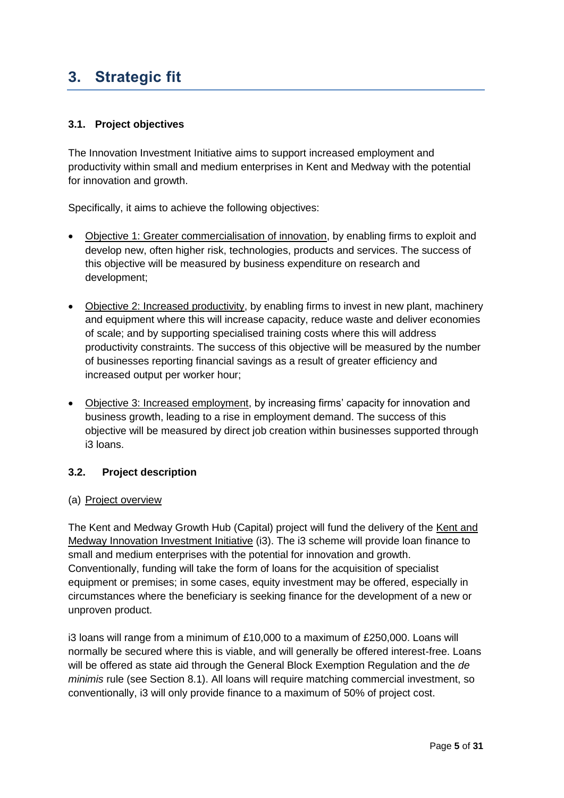# **3. Strategic fit**

# **3.1. Project objectives**

The Innovation Investment Initiative aims to support increased employment and productivity within small and medium enterprises in Kent and Medway with the potential for innovation and growth.

Specifically, it aims to achieve the following objectives:

- Objective 1: Greater commercialisation of innovation, by enabling firms to exploit and develop new, often higher risk, technologies, products and services. The success of this objective will be measured by business expenditure on research and development;
- Objective 2: Increased productivity, by enabling firms to invest in new plant, machinery and equipment where this will increase capacity, reduce waste and deliver economies of scale; and by supporting specialised training costs where this will address productivity constraints. The success of this objective will be measured by the number of businesses reporting financial savings as a result of greater efficiency and increased output per worker hour;
- Objective 3: Increased employment, by increasing firms' capacity for innovation and business growth, leading to a rise in employment demand. The success of this objective will be measured by direct job creation within businesses supported through i3 loans.

### **3.2. Project description**

### (a) Project overview

The Kent and Medway Growth Hub (Capital) project will fund the delivery of the Kent and Medway Innovation Investment Initiative (i3). The i3 scheme will provide loan finance to small and medium enterprises with the potential for innovation and growth. Conventionally, funding will take the form of loans for the acquisition of specialist equipment or premises; in some cases, equity investment may be offered, especially in circumstances where the beneficiary is seeking finance for the development of a new or unproven product.

i3 loans will range from a minimum of £10,000 to a maximum of £250,000. Loans will normally be secured where this is viable, and will generally be offered interest-free. Loans will be offered as state aid through the General Block Exemption Regulation and the *de minimis* rule (see Section 8.1). All loans will require matching commercial investment, so conventionally, i3 will only provide finance to a maximum of 50% of project cost.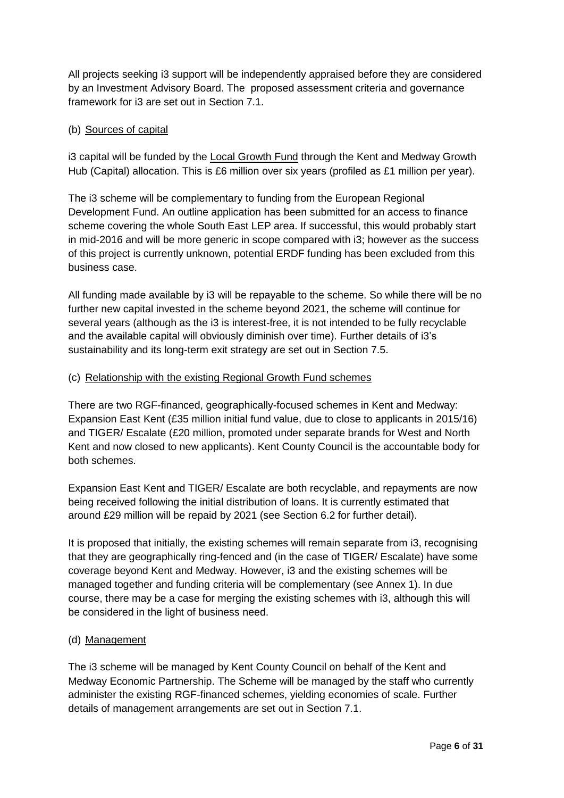All projects seeking i3 support will be independently appraised before they are considered by an Investment Advisory Board. The proposed assessment criteria and governance framework for i3 are set out in Section 7.1.

# (b) Sources of capital

i3 capital will be funded by the Local Growth Fund through the Kent and Medway Growth Hub (Capital) allocation. This is £6 million over six years (profiled as £1 million per year).

The i3 scheme will be complementary to funding from the European Regional Development Fund. An outline application has been submitted for an access to finance scheme covering the whole South East LEP area. If successful, this would probably start in mid-2016 and will be more generic in scope compared with i3; however as the success of this project is currently unknown, potential ERDF funding has been excluded from this business case.

All funding made available by i3 will be repayable to the scheme. So while there will be no further new capital invested in the scheme beyond 2021, the scheme will continue for several years (although as the i3 is interest-free, it is not intended to be fully recyclable and the available capital will obviously diminish over time). Further details of i3's sustainability and its long-term exit strategy are set out in Section 7.5.

### (c) Relationship with the existing Regional Growth Fund schemes

There are two RGF-financed, geographically-focused schemes in Kent and Medway: Expansion East Kent (£35 million initial fund value, due to close to applicants in 2015/16) and TIGER/ Escalate (£20 million, promoted under separate brands for West and North Kent and now closed to new applicants). Kent County Council is the accountable body for both schemes.

Expansion East Kent and TIGER/ Escalate are both recyclable, and repayments are now being received following the initial distribution of loans. It is currently estimated that around £29 million will be repaid by 2021 (see Section 6.2 for further detail).

It is proposed that initially, the existing schemes will remain separate from i3, recognising that they are geographically ring-fenced and (in the case of TIGER/ Escalate) have some coverage beyond Kent and Medway. However, i3 and the existing schemes will be managed together and funding criteria will be complementary (see Annex 1). In due course, there may be a case for merging the existing schemes with i3, although this will be considered in the light of business need.

### (d) Management

The i3 scheme will be managed by Kent County Council on behalf of the Kent and Medway Economic Partnership. The Scheme will be managed by the staff who currently administer the existing RGF-financed schemes, yielding economies of scale. Further details of management arrangements are set out in Section 7.1.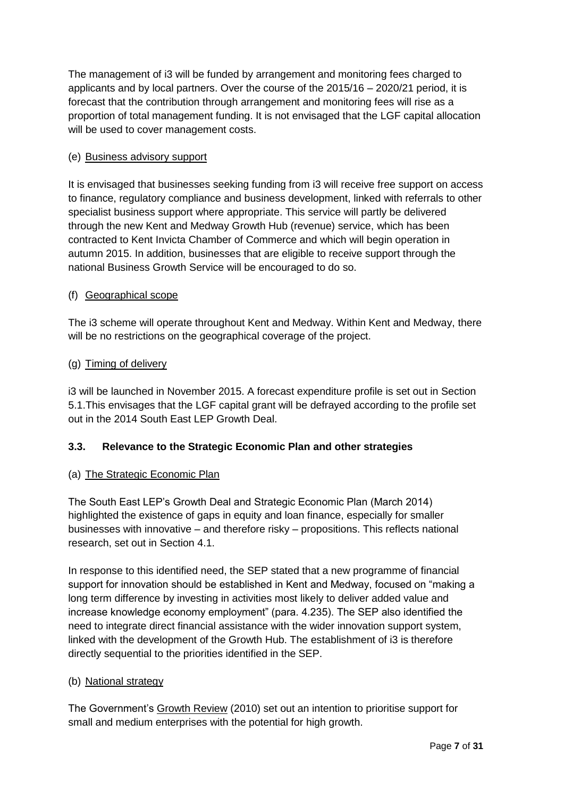The management of i3 will be funded by arrangement and monitoring fees charged to applicants and by local partners. Over the course of the 2015/16 – 2020/21 period, it is forecast that the contribution through arrangement and monitoring fees will rise as a proportion of total management funding. It is not envisaged that the LGF capital allocation will be used to cover management costs.

# (e) Business advisory support

It is envisaged that businesses seeking funding from i3 will receive free support on access to finance, regulatory compliance and business development, linked with referrals to other specialist business support where appropriate. This service will partly be delivered through the new Kent and Medway Growth Hub (revenue) service, which has been contracted to Kent Invicta Chamber of Commerce and which will begin operation in autumn 2015. In addition, businesses that are eligible to receive support through the national Business Growth Service will be encouraged to do so.

### (f) Geographical scope

The i3 scheme will operate throughout Kent and Medway. Within Kent and Medway, there will be no restrictions on the geographical coverage of the project.

### (g) Timing of delivery

i3 will be launched in November 2015. A forecast expenditure profile is set out in Section 5.1.This envisages that the LGF capital grant will be defrayed according to the profile set out in the 2014 South East LEP Growth Deal.

# **3.3. Relevance to the Strategic Economic Plan and other strategies**

# (a) The Strategic Economic Plan

The South East LEP's Growth Deal and Strategic Economic Plan (March 2014) highlighted the existence of gaps in equity and loan finance, especially for smaller businesses with innovative – and therefore risky – propositions. This reflects national research, set out in Section 4.1.

In response to this identified need, the SEP stated that a new programme of financial support for innovation should be established in Kent and Medway, focused on "making a long term difference by investing in activities most likely to deliver added value and increase knowledge economy employment" (para. 4.235). The SEP also identified the need to integrate direct financial assistance with the wider innovation support system, linked with the development of the Growth Hub. The establishment of i3 is therefore directly sequential to the priorities identified in the SEP.

### (b) National strategy

The Government's Growth Review (2010) set out an intention to prioritise support for small and medium enterprises with the potential for high growth.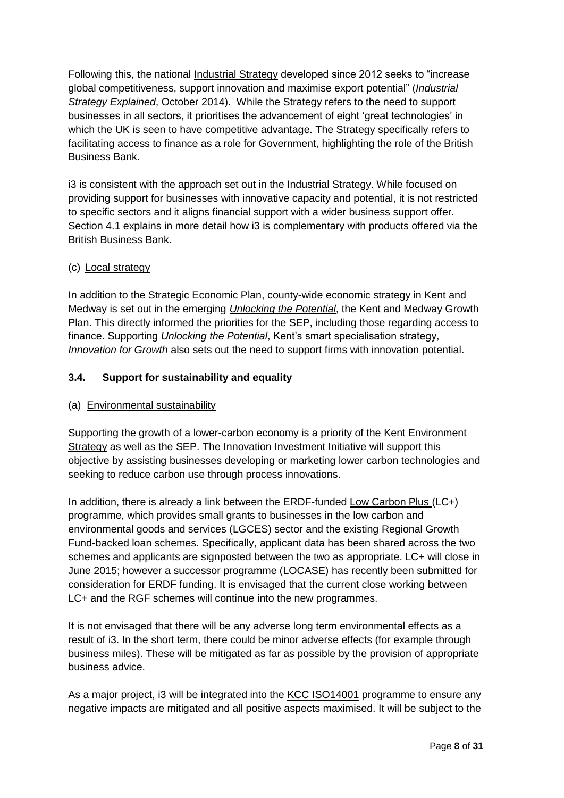Following this, the national Industrial Strategy developed since 2012 seeks to "increase global competitiveness, support innovation and maximise export potential" (*Industrial Strategy Explained*, October 2014). While the Strategy refers to the need to support businesses in all sectors, it prioritises the advancement of eight 'great technologies' in which the UK is seen to have competitive advantage. The Strategy specifically refers to facilitating access to finance as a role for Government, highlighting the role of the British Business Bank.

i3 is consistent with the approach set out in the Industrial Strategy. While focused on providing support for businesses with innovative capacity and potential, it is not restricted to specific sectors and it aligns financial support with a wider business support offer. Section 4.1 explains in more detail how i3 is complementary with products offered via the British Business Bank.

# (c) Local strategy

In addition to the Strategic Economic Plan, county-wide economic strategy in Kent and Medway is set out in the emerging *Unlocking the Potential*, the Kent and Medway Growth Plan. This directly informed the priorities for the SEP, including those regarding access to finance. Supporting *Unlocking the Potential*, Kent's smart specialisation strategy, *Innovation for Growth* also sets out the need to support firms with innovation potential.

# **3.4. Support for sustainability and equality**

### (a) Environmental sustainability

Supporting the growth of a lower-carbon economy is a priority of the Kent Environment Strategy as well as the SEP. The Innovation Investment Initiative will support this objective by assisting businesses developing or marketing lower carbon technologies and seeking to reduce carbon use through process innovations.

In addition, there is already a link between the ERDF-funded Low Carbon Plus (LC+) programme, which provides small grants to businesses in the low carbon and environmental goods and services (LGCES) sector and the existing Regional Growth Fund-backed loan schemes. Specifically, applicant data has been shared across the two schemes and applicants are signposted between the two as appropriate. LC+ will close in June 2015; however a successor programme (LOCASE) has recently been submitted for consideration for ERDF funding. It is envisaged that the current close working between LC+ and the RGF schemes will continue into the new programmes.

It is not envisaged that there will be any adverse long term environmental effects as a result of i3. In the short term, there could be minor adverse effects (for example through business miles). These will be mitigated as far as possible by the provision of appropriate business advice.

As a major project, i3 will be integrated into the KCC ISO14001 programme to ensure any negative impacts are mitigated and all positive aspects maximised. It will be subject to the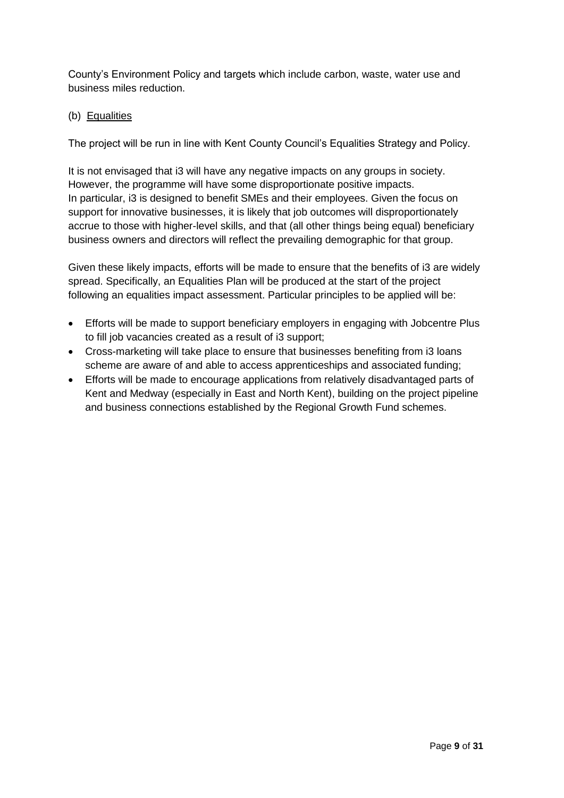County's Environment Policy and targets which include carbon, waste, water use and business miles reduction.

# (b) Equalities

The project will be run in line with Kent County Council's Equalities Strategy and Policy.

It is not envisaged that i3 will have any negative impacts on any groups in society. However, the programme will have some disproportionate positive impacts. In particular, i3 is designed to benefit SMEs and their employees. Given the focus on support for innovative businesses, it is likely that job outcomes will disproportionately accrue to those with higher-level skills, and that (all other things being equal) beneficiary business owners and directors will reflect the prevailing demographic for that group.

Given these likely impacts, efforts will be made to ensure that the benefits of i3 are widely spread. Specifically, an Equalities Plan will be produced at the start of the project following an equalities impact assessment. Particular principles to be applied will be:

- Efforts will be made to support beneficiary employers in engaging with Jobcentre Plus to fill job vacancies created as a result of i3 support;
- Cross-marketing will take place to ensure that businesses benefiting from i3 loans scheme are aware of and able to access apprenticeships and associated funding;
- Efforts will be made to encourage applications from relatively disadvantaged parts of Kent and Medway (especially in East and North Kent), building on the project pipeline and business connections established by the Regional Growth Fund schemes.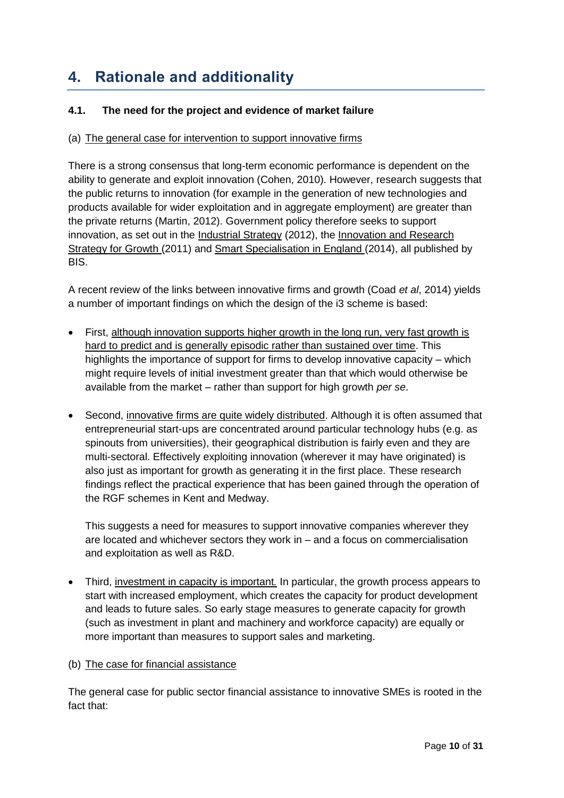# **4. Rationale and additionality**

# **4.1. The need for the project and evidence of market failure**

### (a) The general case for intervention to support innovative firms

There is a strong consensus that long-term economic performance is dependent on the ability to generate and exploit innovation (Cohen, 2010). However, research suggests that the public returns to innovation (for example in the generation of new technologies and products available for wider exploitation and in aggregate employment) are greater than the private returns (Martin, 2012). Government policy therefore seeks to support innovation, as set out in the Industrial Strategy (2012), the Innovation and Research Strategy for Growth (2011) and Smart Specialisation in England (2014), all published by BIS.

A recent review of the links between innovative firms and growth (Coad *et al*, 2014) yields a number of important findings on which the design of the i3 scheme is based:

- First, although innovation supports higher growth in the long run, very fast growth is hard to predict and is generally episodic rather than sustained over time. This highlights the importance of support for firms to develop innovative capacity – which might require levels of initial investment greater than that which would otherwise be available from the market – rather than support for high growth *per se*.
- Second, innovative firms are quite widely distributed. Although it is often assumed that entrepreneurial start-ups are concentrated around particular technology hubs (e.g. as spinouts from universities), their geographical distribution is fairly even and they are multi-sectoral. Effectively exploiting innovation (wherever it may have originated) is also just as important for growth as generating it in the first place. These research findings reflect the practical experience that has been gained through the operation of the RGF schemes in Kent and Medway.

This suggests a need for measures to support innovative companies wherever they are located and whichever sectors they work in – and a focus on commercialisation and exploitation as well as R&D.

 Third, investment in capacity is important*.* In particular, the growth process appears to start with increased employment, which creates the capacity for product development and leads to future sales. So early stage measures to generate capacity for growth (such as investment in plant and machinery and workforce capacity) are equally or more important than measures to support sales and marketing.

### (b) The case for financial assistance

The general case for public sector financial assistance to innovative SMEs is rooted in the fact that: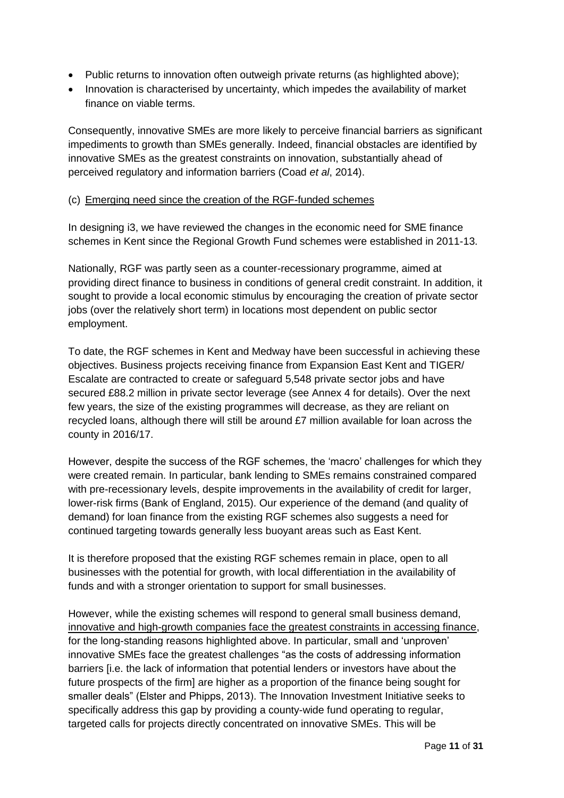- Public returns to innovation often outweigh private returns (as highlighted above);
- Innovation is characterised by uncertainty, which impedes the availability of market finance on viable terms.

Consequently, innovative SMEs are more likely to perceive financial barriers as significant impediments to growth than SMEs generally. Indeed, financial obstacles are identified by innovative SMEs as the greatest constraints on innovation, substantially ahead of perceived regulatory and information barriers (Coad *et al*, 2014).

### (c) Emerging need since the creation of the RGF-funded schemes

In designing i3, we have reviewed the changes in the economic need for SME finance schemes in Kent since the Regional Growth Fund schemes were established in 2011-13.

Nationally, RGF was partly seen as a counter-recessionary programme, aimed at providing direct finance to business in conditions of general credit constraint. In addition, it sought to provide a local economic stimulus by encouraging the creation of private sector jobs (over the relatively short term) in locations most dependent on public sector employment.

To date, the RGF schemes in Kent and Medway have been successful in achieving these objectives. Business projects receiving finance from Expansion East Kent and TIGER/ Escalate are contracted to create or safeguard 5,548 private sector jobs and have secured £88.2 million in private sector leverage (see Annex 4 for details). Over the next few years, the size of the existing programmes will decrease, as they are reliant on recycled loans, although there will still be around £7 million available for loan across the county in 2016/17.

However, despite the success of the RGF schemes, the 'macro' challenges for which they were created remain. In particular, bank lending to SMEs remains constrained compared with pre-recessionary levels, despite improvements in the availability of credit for larger, lower-risk firms (Bank of England, 2015). Our experience of the demand (and quality of demand) for loan finance from the existing RGF schemes also suggests a need for continued targeting towards generally less buoyant areas such as East Kent.

It is therefore proposed that the existing RGF schemes remain in place, open to all businesses with the potential for growth, with local differentiation in the availability of funds and with a stronger orientation to support for small businesses.

However, while the existing schemes will respond to general small business demand, innovative and high-growth companies face the greatest constraints in accessing finance, for the long-standing reasons highlighted above. In particular, small and 'unproven' innovative SMEs face the greatest challenges "as the costs of addressing information barriers [i.e. the lack of information that potential lenders or investors have about the future prospects of the firm] are higher as a proportion of the finance being sought for smaller deals" (Elster and Phipps, 2013). The Innovation Investment Initiative seeks to specifically address this gap by providing a county-wide fund operating to regular, targeted calls for projects directly concentrated on innovative SMEs. This will be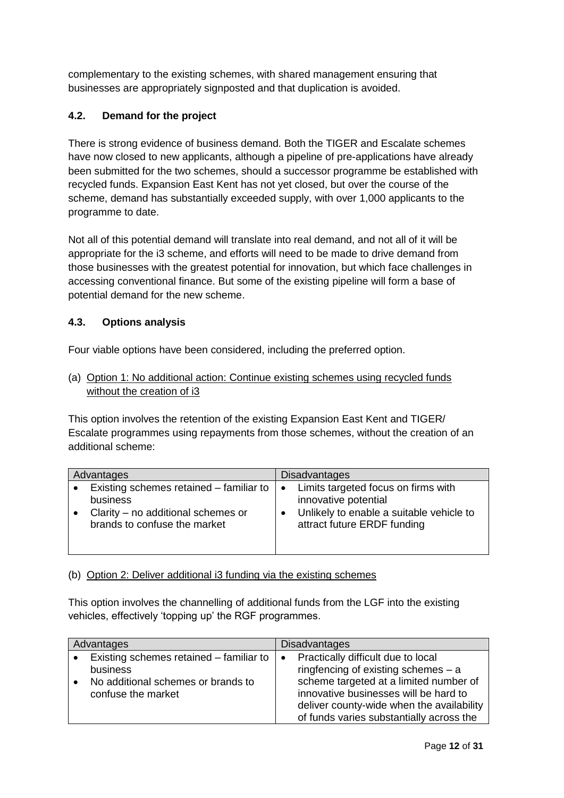complementary to the existing schemes, with shared management ensuring that businesses are appropriately signposted and that duplication is avoided.

# **4.2. Demand for the project**

There is strong evidence of business demand. Both the TIGER and Escalate schemes have now closed to new applicants, although a pipeline of pre-applications have already been submitted for the two schemes, should a successor programme be established with recycled funds. Expansion East Kent has not yet closed, but over the course of the scheme, demand has substantially exceeded supply, with over 1,000 applicants to the programme to date.

Not all of this potential demand will translate into real demand, and not all of it will be appropriate for the i3 scheme, and efforts will need to be made to drive demand from those businesses with the greatest potential for innovation, but which face challenges in accessing conventional finance. But some of the existing pipeline will form a base of potential demand for the new scheme.

# **4.3. Options analysis**

Four viable options have been considered, including the preferred option.

(a) Option 1: No additional action: Continue existing schemes using recycled funds without the creation of i3

This option involves the retention of the existing Expansion East Kent and TIGER/ Escalate programmes using repayments from those schemes, without the creation of an additional scheme:

| Advantages |                                                                    | <b>Disadvantages</b> |                                                                         |  |
|------------|--------------------------------------------------------------------|----------------------|-------------------------------------------------------------------------|--|
|            | Existing schemes retained – familiar to<br>business                | ∣ ●                  | Limits targeted focus on firms with<br>innovative potential             |  |
|            | Clarity – no additional schemes or<br>brands to confuse the market |                      | Unlikely to enable a suitable vehicle to<br>attract future ERDF funding |  |

# (b) Option 2: Deliver additional i3 funding via the existing schemes

This option involves the channelling of additional funds from the LGF into the existing vehicles, effectively 'topping up' the RGF programmes.

| Advantages |                                                                 | <b>Disadvantages</b> |                                                                                                                                                                          |  |
|------------|-----------------------------------------------------------------|----------------------|--------------------------------------------------------------------------------------------------------------------------------------------------------------------------|--|
|            | $\bullet$ Existing schemes retained $-$ familiar to<br>business |                      | Practically difficult due to local<br>ringfencing of existing schemes $-$ a                                                                                              |  |
|            | No additional schemes or brands to<br>confuse the market        |                      | scheme targeted at a limited number of<br>innovative businesses will be hard to<br>deliver county-wide when the availability<br>of funds varies substantially across the |  |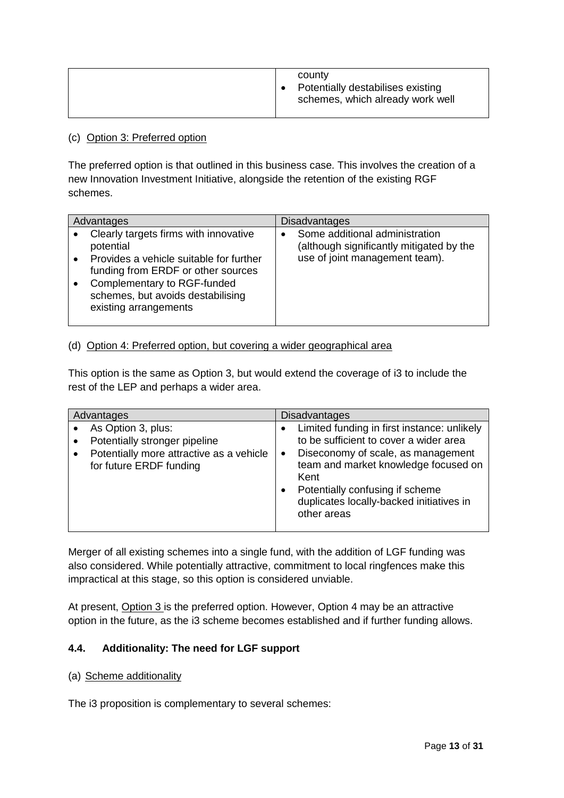### (c) Option 3: Preferred option

The preferred option is that outlined in this business case. This involves the creation of a new Innovation Investment Initiative, alongside the retention of the existing RGF schemes.

| Advantages |                                                                                                                                                                                                                                  | <b>Disadvantages</b>                                                                                         |  |  |
|------------|----------------------------------------------------------------------------------------------------------------------------------------------------------------------------------------------------------------------------------|--------------------------------------------------------------------------------------------------------------|--|--|
|            | Clearly targets firms with innovative<br>potential<br>Provides a vehicle suitable for further<br>funding from ERDF or other sources<br>Complementary to RGF-funded<br>schemes, but avoids destabilising<br>existing arrangements | Some additional administration<br>(although significantly mitigated by the<br>use of joint management team). |  |  |
|            |                                                                                                                                                                                                                                  |                                                                                                              |  |  |

### (d) Option 4: Preferred option, but covering a wider geographical area

This option is the same as Option 3, but would extend the coverage of i3 to include the rest of the LEP and perhaps a wider area.

| Advantages                                                                       | <b>Disadvantages</b>                                                                                                                                                                  |  |  |
|----------------------------------------------------------------------------------|---------------------------------------------------------------------------------------------------------------------------------------------------------------------------------------|--|--|
| As Option 3, plus:<br>Potentially stronger pipeline                              | Limited funding in first instance: unlikely<br>to be sufficient to cover a wider area                                                                                                 |  |  |
| Potentially more attractive as a vehicle<br>$\bullet$<br>for future ERDF funding | Diseconomy of scale, as management<br>٠<br>team and market knowledge focused on<br>Kent<br>Potentially confusing if scheme<br>duplicates locally-backed initiatives in<br>other areas |  |  |

Merger of all existing schemes into a single fund, with the addition of LGF funding was also considered. While potentially attractive, commitment to local ringfences make this impractical at this stage, so this option is considered unviable.

At present, Option 3 is the preferred option. However, Option 4 may be an attractive option in the future, as the i3 scheme becomes established and if further funding allows.

# **4.4. Additionality: The need for LGF support**

### (a) Scheme additionality

The i3 proposition is complementary to several schemes: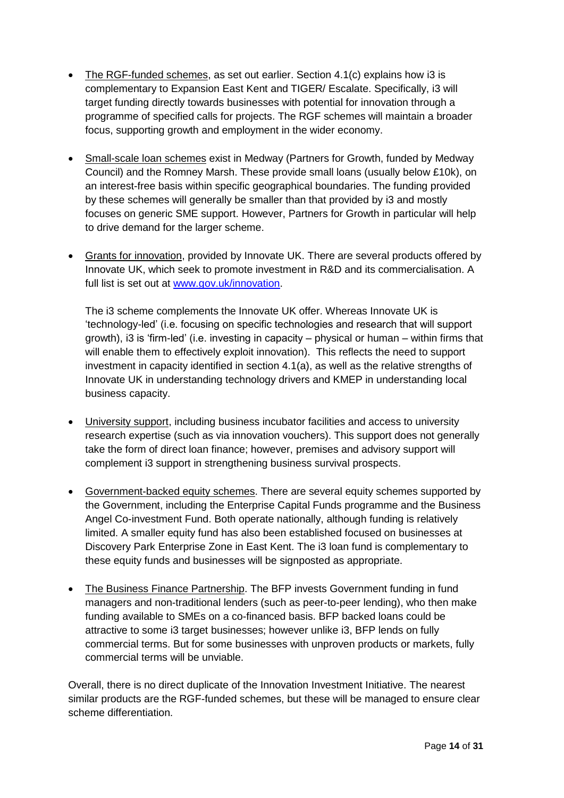- The RGF-funded schemes, as set out earlier. Section 4.1(c) explains how i3 is complementary to Expansion East Kent and TIGER/ Escalate. Specifically, i3 will target funding directly towards businesses with potential for innovation through a programme of specified calls for projects. The RGF schemes will maintain a broader focus, supporting growth and employment in the wider economy.
- Small-scale loan schemes exist in Medway (Partners for Growth, funded by Medway Council) and the Romney Marsh. These provide small loans (usually below £10k), on an interest-free basis within specific geographical boundaries. The funding provided by these schemes will generally be smaller than that provided by i3 and mostly focuses on generic SME support. However, Partners for Growth in particular will help to drive demand for the larger scheme.
- Grants for innovation, provided by Innovate UK. There are several products offered by Innovate UK, which seek to promote investment in R&D and its commercialisation. A full list is set out at [www.gov.uk/innovation.](http://www.gov.uk/innovation)

The i3 scheme complements the Innovate UK offer. Whereas Innovate UK is 'technology-led' (i.e. focusing on specific technologies and research that will support growth), i3 is 'firm-led' (i.e. investing in capacity – physical or human – within firms that will enable them to effectively exploit innovation). This reflects the need to support investment in capacity identified in section 4.1(a), as well as the relative strengths of Innovate UK in understanding technology drivers and KMEP in understanding local business capacity.

- University support, including business incubator facilities and access to university research expertise (such as via innovation vouchers). This support does not generally take the form of direct loan finance; however, premises and advisory support will complement i3 support in strengthening business survival prospects.
- Government-backed equity schemes. There are several equity schemes supported by the Government, including the Enterprise Capital Funds programme and the Business Angel Co-investment Fund. Both operate nationally, although funding is relatively limited. A smaller equity fund has also been established focused on businesses at Discovery Park Enterprise Zone in East Kent. The i3 loan fund is complementary to these equity funds and businesses will be signposted as appropriate.
- The Business Finance Partnership. The BFP invests Government funding in fund managers and non-traditional lenders (such as peer-to-peer lending), who then make funding available to SMEs on a co-financed basis. BFP backed loans could be attractive to some i3 target businesses; however unlike i3, BFP lends on fully commercial terms. But for some businesses with unproven products or markets, fully commercial terms will be unviable.

Overall, there is no direct duplicate of the Innovation Investment Initiative. The nearest similar products are the RGF-funded schemes, but these will be managed to ensure clear scheme differentiation.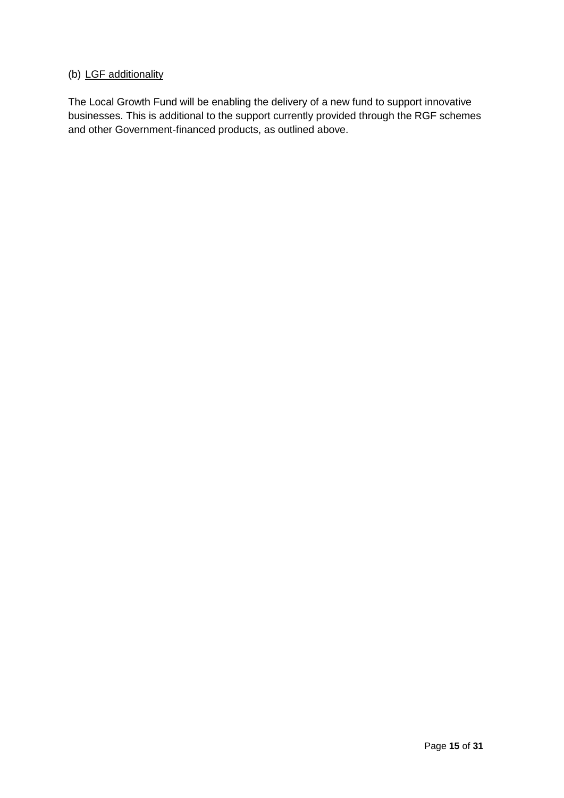# (b) LGF additionality

The Local Growth Fund will be enabling the delivery of a new fund to support innovative businesses. This is additional to the support currently provided through the RGF schemes and other Government-financed products, as outlined above.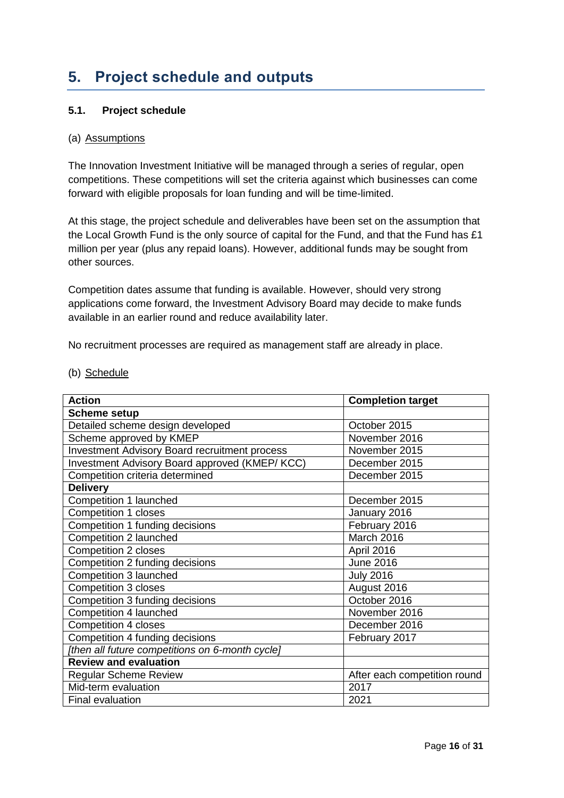# **5. Project schedule and outputs**

### **5.1. Project schedule**

### (a) Assumptions

The Innovation Investment Initiative will be managed through a series of regular, open competitions. These competitions will set the criteria against which businesses can come forward with eligible proposals for loan funding and will be time-limited.

At this stage, the project schedule and deliverables have been set on the assumption that the Local Growth Fund is the only source of capital for the Fund, and that the Fund has £1 million per year (plus any repaid loans). However, additional funds may be sought from other sources.

Competition dates assume that funding is available. However, should very strong applications come forward, the Investment Advisory Board may decide to make funds available in an earlier round and reduce availability later.

No recruitment processes are required as management staff are already in place.

| <b>Action</b>                                        | <b>Completion target</b>     |  |  |  |
|------------------------------------------------------|------------------------------|--|--|--|
| <b>Scheme setup</b>                                  |                              |  |  |  |
| Detailed scheme design developed                     | October 2015                 |  |  |  |
| Scheme approved by KMEP                              | November 2016                |  |  |  |
| <b>Investment Advisory Board recruitment process</b> | November 2015                |  |  |  |
| Investment Advisory Board approved (KMEP/KCC)        | December 2015                |  |  |  |
| Competition criteria determined                      | December 2015                |  |  |  |
| <b>Delivery</b>                                      |                              |  |  |  |
| Competition 1 launched                               | December 2015                |  |  |  |
| Competition 1 closes                                 | January 2016                 |  |  |  |
| Competition 1 funding decisions                      | February 2016                |  |  |  |
| Competition 2 launched                               | March 2016                   |  |  |  |
| <b>Competition 2 closes</b>                          | April 2016                   |  |  |  |
| Competition 2 funding decisions                      | <b>June 2016</b>             |  |  |  |
| Competition 3 launched                               | <b>July 2016</b>             |  |  |  |
| <b>Competition 3 closes</b>                          | August 2016                  |  |  |  |
| Competition 3 funding decisions                      | October 2016                 |  |  |  |
| Competition 4 launched                               | November 2016                |  |  |  |
| Competition 4 closes                                 | December 2016                |  |  |  |
| Competition 4 funding decisions                      | February 2017                |  |  |  |
| [then all future competitions on 6-month cycle]      |                              |  |  |  |
| <b>Review and evaluation</b>                         |                              |  |  |  |
| <b>Regular Scheme Review</b>                         | After each competition round |  |  |  |
| Mid-term evaluation                                  | 2017                         |  |  |  |
| <b>Final evaluation</b>                              | 2021                         |  |  |  |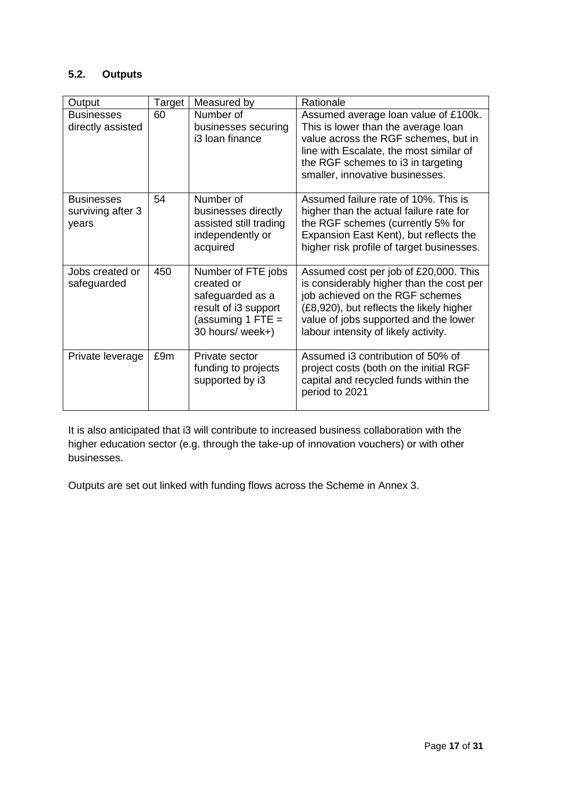# **5.2. Outputs**

| Output                                          | Target | Measured by                                                                                                             | Rationale                                                                                                                                                                                                                                         |
|-------------------------------------------------|--------|-------------------------------------------------------------------------------------------------------------------------|---------------------------------------------------------------------------------------------------------------------------------------------------------------------------------------------------------------------------------------------------|
| <b>Businesses</b><br>directly assisted          | 60     | Number of<br>businesses securing<br>i3 Ioan finance                                                                     | Assumed average loan value of £100k.<br>This is lower than the average loan<br>value across the RGF schemes, but in<br>line with Escalate, the most similar of<br>the RGF schemes to i3 in targeting<br>smaller, innovative businesses.           |
| <b>Businesses</b><br>surviving after 3<br>years | 54     | Number of<br>businesses directly<br>assisted still trading<br>independently or<br>acquired                              | Assumed failure rate of 10%. This is<br>higher than the actual failure rate for<br>the RGF schemes (currently 5% for<br>Expansion East Kent), but reflects the<br>higher risk profile of target businesses.                                       |
| Jobs created or<br>safeguarded                  | 450    | Number of FTE jobs<br>created or<br>safeguarded as a<br>result of i3 support<br>(assuming 1 FTE $=$<br>30 hours/ week+) | Assumed cost per job of £20,000. This<br>is considerably higher than the cost per<br>job achieved on the RGF schemes<br>(£8,920), but reflects the likely higher<br>value of jobs supported and the lower<br>labour intensity of likely activity. |
| Private leverage                                | £9m    | Private sector<br>funding to projects<br>supported by i3                                                                | Assumed i3 contribution of 50% of<br>project costs (both on the initial RGF<br>capital and recycled funds within the<br>period to 2021                                                                                                            |

It is also anticipated that i3 will contribute to increased business collaboration with the higher education sector (e.g. through the take-up of innovation vouchers) or with other businesses.

Outputs are set out linked with funding flows across the Scheme in Annex 3.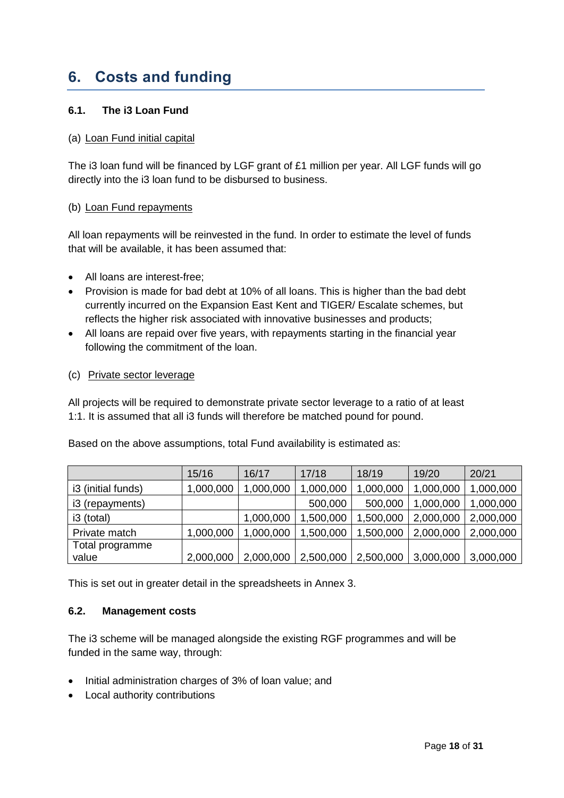# **6. Costs and funding**

### **6.1. The i3 Loan Fund**

### (a) Loan Fund initial capital

The i3 loan fund will be financed by LGF grant of £1 million per year. All LGF funds will go directly into the i3 loan fund to be disbursed to business.

### (b) Loan Fund repayments

All loan repayments will be reinvested in the fund. In order to estimate the level of funds that will be available, it has been assumed that:

- All loans are interest-free:
- Provision is made for bad debt at 10% of all loans. This is higher than the bad debt currently incurred on the Expansion East Kent and TIGER/ Escalate schemes, but reflects the higher risk associated with innovative businesses and products;
- All loans are repaid over five years, with repayments starting in the financial year following the commitment of the loan.

#### (c) Private sector leverage

All projects will be required to demonstrate private sector leverage to a ratio of at least 1:1. It is assumed that all i3 funds will therefore be matched pound for pound.

|                    | 15/16     | 16/17     | 17/18     | 18/19     | 19/20     | 20/21     |
|--------------------|-----------|-----------|-----------|-----------|-----------|-----------|
| i3 (initial funds) | 1,000,000 | 1,000,000 | 1,000,000 | 1,000,000 | 1,000,000 | 1,000,000 |
| i3 (repayments)    |           |           | 500,000   | 500,000   | 1,000,000 | 1,000,000 |
| i3 (total)         |           | 1,000,000 | 1,500,000 | ,500,000  | 2,000,000 | 2,000,000 |
| Private match      | 1,000,000 | 1,000,000 | 1,500,000 | ,500,000  | 2,000,000 | 2,000,000 |
| Total programme    |           |           |           |           |           |           |
| value              | 2,000,000 | 2,000,000 | 2,500,000 | 2,500,000 | 3,000,000 | 3,000,000 |

Based on the above assumptions, total Fund availability is estimated as:

This is set out in greater detail in the spreadsheets in Annex 3.

# **6.2. Management costs**

The i3 scheme will be managed alongside the existing RGF programmes and will be funded in the same way, through:

- Initial administration charges of 3% of loan value; and
- Local authority contributions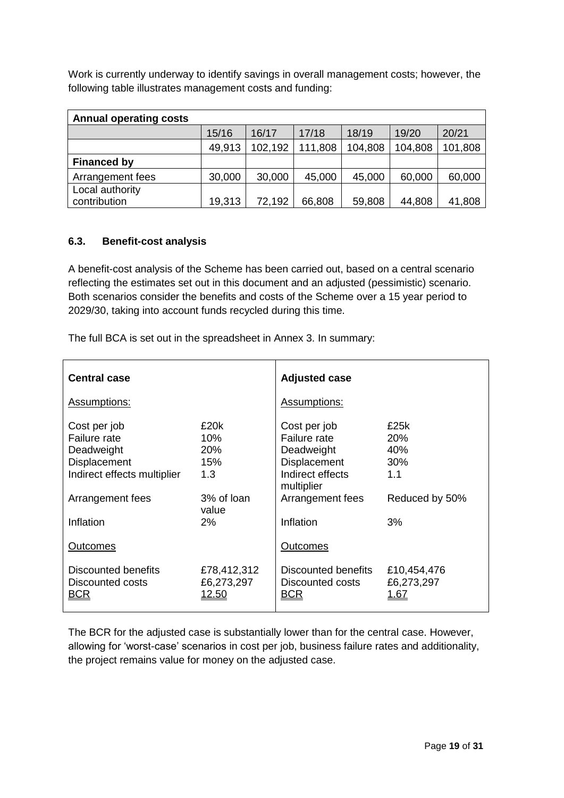Work is currently underway to identify savings in overall management costs; however, the following table illustrates management costs and funding:

| <b>Annual operating costs</b> |        |         |         |         |         |         |
|-------------------------------|--------|---------|---------|---------|---------|---------|
|                               | 15/16  | 16/17   | 17/18   | 18/19   | 19/20   | 20/21   |
|                               | 49,913 | 102,192 | 111,808 | 104,808 | 104,808 | 101,808 |
| <b>Financed by</b>            |        |         |         |         |         |         |
| Arrangement fees              | 30,000 | 30,000  | 45,000  | 45,000  | 60,000  | 60,000  |
| Local authority               |        |         |         |         |         |         |
| contribution                  | 19,313 | 72,192  | 66,808  | 59,808  | 44,808  | 41,808  |

# **6.3. Benefit-cost analysis**

A benefit-cost analysis of the Scheme has been carried out, based on a central scenario reflecting the estimates set out in this document and an adjusted (pessimistic) scenario. Both scenarios consider the benefits and costs of the Scheme over a 15 year period to 2029/30, taking into account funds recycled during this time.

The full BCA is set out in the spreadsheet in Annex 3. In summary:

| <b>Central case</b>                                   |                                    | <b>Adjusted case</b>                                  |                                   |
|-------------------------------------------------------|------------------------------------|-------------------------------------------------------|-----------------------------------|
| Assumptions:                                          |                                    | Assumptions:                                          |                                   |
| Cost per job                                          | £20k                               | Cost per job                                          | £25k                              |
| <b>Failure rate</b>                                   | 10%                                | Failure rate                                          | <b>20%</b>                        |
| Deadweight                                            | <b>20%</b>                         | Deadweight                                            | 40%                               |
| Displacement                                          | 15%                                | Displacement                                          | 30%                               |
| Indirect effects multiplier                           | 1.3                                | Indirect effects<br>multiplier                        | 1.1                               |
| Arrangement fees                                      | 3% of loan<br>value                | Arrangement fees                                      | Reduced by 50%                    |
| Inflation                                             | 2%                                 | Inflation                                             | 3%                                |
| Outcomes                                              |                                    | Outcomes                                              |                                   |
| Discounted benefits<br>Discounted costs<br><u>BCR</u> | £78,412,312<br>£6,273,297<br>12.50 | Discounted benefits<br>Discounted costs<br><u>BCR</u> | £10,454,476<br>£6,273,297<br>1.67 |

The BCR for the adjusted case is substantially lower than for the central case. However, allowing for 'worst-case' scenarios in cost per job, business failure rates and additionality, the project remains value for money on the adjusted case.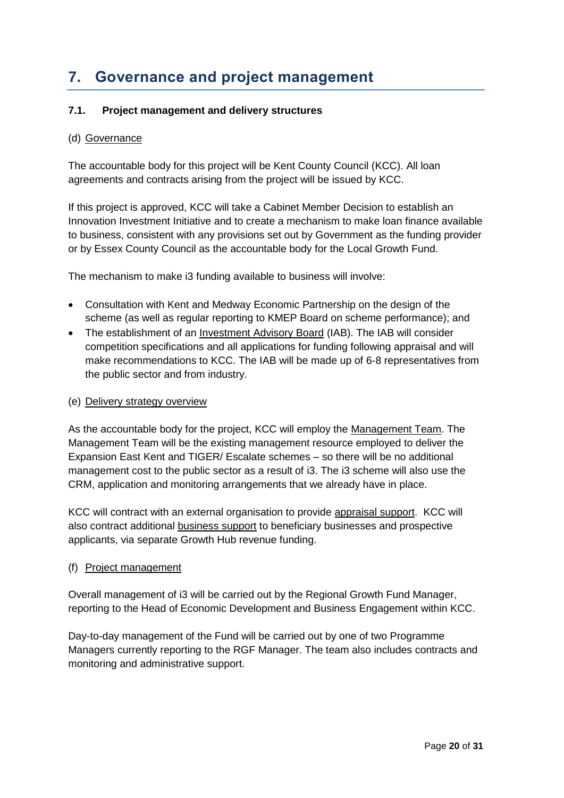# **7. Governance and project management**

# **7.1. Project management and delivery structures**

### (d) Governance

The accountable body for this project will be Kent County Council (KCC). All loan agreements and contracts arising from the project will be issued by KCC.

If this project is approved, KCC will take a Cabinet Member Decision to establish an Innovation Investment Initiative and to create a mechanism to make loan finance available to business, consistent with any provisions set out by Government as the funding provider or by Essex County Council as the accountable body for the Local Growth Fund.

The mechanism to make i3 funding available to business will involve:

- Consultation with Kent and Medway Economic Partnership on the design of the scheme (as well as regular reporting to KMEP Board on scheme performance); and
- The establishment of an Investment Advisory Board (IAB). The IAB will consider competition specifications and all applications for funding following appraisal and will make recommendations to KCC. The IAB will be made up of 6-8 representatives from the public sector and from industry.

### (e) Delivery strategy overview

As the accountable body for the project, KCC will employ the Management Team. The Management Team will be the existing management resource employed to deliver the Expansion East Kent and TIGER/ Escalate schemes – so there will be no additional management cost to the public sector as a result of i3. The i3 scheme will also use the CRM, application and monitoring arrangements that we already have in place.

KCC will contract with an external organisation to provide appraisal support. KCC will also contract additional business support to beneficiary businesses and prospective applicants, via separate Growth Hub revenue funding.

### (f) Project management

Overall management of i3 will be carried out by the Regional Growth Fund Manager, reporting to the Head of Economic Development and Business Engagement within KCC.

Day-to-day management of the Fund will be carried out by one of two Programme Managers currently reporting to the RGF Manager. The team also includes contracts and monitoring and administrative support.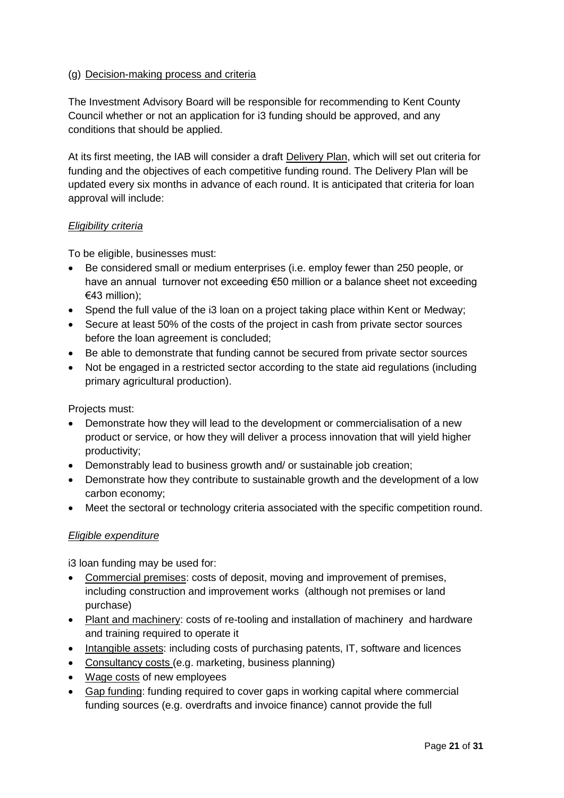### (g) Decision-making process and criteria

The Investment Advisory Board will be responsible for recommending to Kent County Council whether or not an application for i3 funding should be approved, and any conditions that should be applied.

At its first meeting, the IAB will consider a draft Delivery Plan, which will set out criteria for funding and the objectives of each competitive funding round. The Delivery Plan will be updated every six months in advance of each round. It is anticipated that criteria for loan approval will include:

### *Eligibility criteria*

To be eligible, businesses must:

- Be considered small or medium enterprises (i.e. employ fewer than 250 people, or have an annual turnover not exceeding €50 million or a balance sheet not exceeding €43 million);
- Spend the full value of the i3 loan on a project taking place within Kent or Medway;
- Secure at least 50% of the costs of the project in cash from private sector sources before the loan agreement is concluded;
- Be able to demonstrate that funding cannot be secured from private sector sources
- Not be engaged in a restricted sector according to the state aid regulations (including primary agricultural production).

Projects must:

- Demonstrate how they will lead to the development or commercialisation of a new product or service, or how they will deliver a process innovation that will yield higher productivity;
- Demonstrably lead to business growth and/ or sustainable job creation;
- Demonstrate how they contribute to sustainable growth and the development of a low carbon economy;
- Meet the sectoral or technology criteria associated with the specific competition round.

# *Eligible expenditure*

i3 loan funding may be used for:

- Commercial premises: costs of deposit, moving and improvement of premises, including construction and improvement works (although not premises or land purchase)
- Plant and machinery: costs of re-tooling and installation of machinery and hardware and training required to operate it
- Intangible assets: including costs of purchasing patents, IT, software and licences
- Consultancy costs (e.g. marketing, business planning)
- Wage costs of new employees
- Gap funding: funding required to cover gaps in working capital where commercial funding sources (e.g. overdrafts and invoice finance) cannot provide the full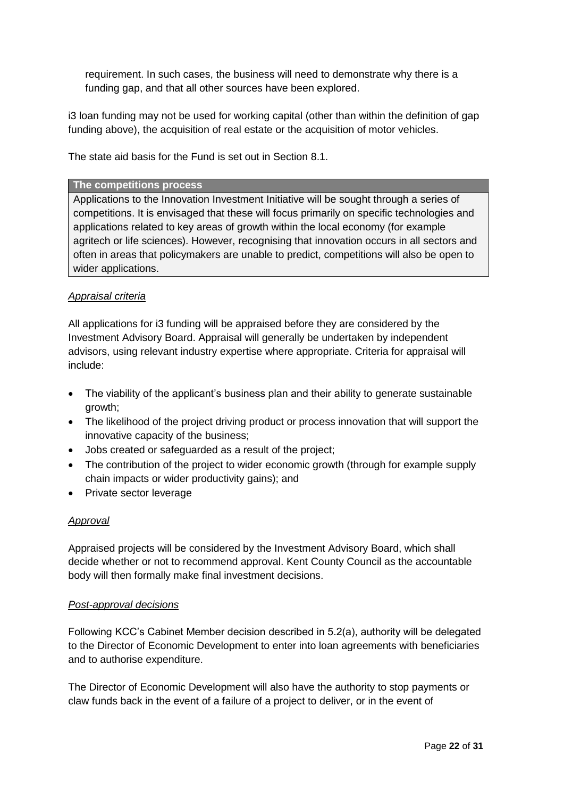requirement. In such cases, the business will need to demonstrate why there is a funding gap, and that all other sources have been explored.

i3 loan funding may not be used for working capital (other than within the definition of gap funding above), the acquisition of real estate or the acquisition of motor vehicles.

The state aid basis for the Fund is set out in Section 8.1.

#### **The competitions process**

Applications to the Innovation Investment Initiative will be sought through a series of competitions. It is envisaged that these will focus primarily on specific technologies and applications related to key areas of growth within the local economy (for example agritech or life sciences). However, recognising that innovation occurs in all sectors and often in areas that policymakers are unable to predict, competitions will also be open to wider applications.

### *Appraisal criteria*

All applications for i3 funding will be appraised before they are considered by the Investment Advisory Board. Appraisal will generally be undertaken by independent advisors, using relevant industry expertise where appropriate. Criteria for appraisal will include:

- The viability of the applicant's business plan and their ability to generate sustainable growth;
- The likelihood of the project driving product or process innovation that will support the innovative capacity of the business;
- Jobs created or safeguarded as a result of the project;
- The contribution of the project to wider economic growth (through for example supply chain impacts or wider productivity gains); and
- Private sector leverage

### *Approval*

Appraised projects will be considered by the Investment Advisory Board, which shall decide whether or not to recommend approval. Kent County Council as the accountable body will then formally make final investment decisions.

### *Post-approval decisions*

Following KCC's Cabinet Member decision described in 5.2(a), authority will be delegated to the Director of Economic Development to enter into loan agreements with beneficiaries and to authorise expenditure.

The Director of Economic Development will also have the authority to stop payments or claw funds back in the event of a failure of a project to deliver, or in the event of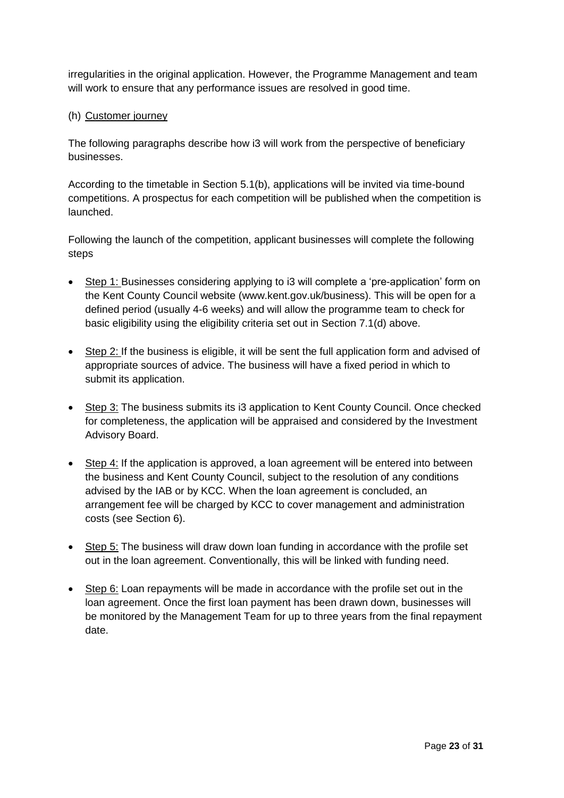irregularities in the original application. However, the Programme Management and team will work to ensure that any performance issues are resolved in good time.

# (h) Customer journey

The following paragraphs describe how i3 will work from the perspective of beneficiary businesses.

According to the timetable in Section 5.1(b), applications will be invited via time-bound competitions. A prospectus for each competition will be published when the competition is launched.

Following the launch of the competition, applicant businesses will complete the following steps

- Step 1: Businesses considering applying to i3 will complete a 'pre-application' form on the Kent County Council website (www.kent.gov.uk/business). This will be open for a defined period (usually 4-6 weeks) and will allow the programme team to check for basic eligibility using the eligibility criteria set out in Section 7.1(d) above.
- Step 2: If the business is eligible, it will be sent the full application form and advised of appropriate sources of advice. The business will have a fixed period in which to submit its application.
- Step 3: The business submits its i3 application to Kent County Council. Once checked for completeness, the application will be appraised and considered by the Investment Advisory Board.
- Step 4: If the application is approved, a loan agreement will be entered into between the business and Kent County Council, subject to the resolution of any conditions advised by the IAB or by KCC. When the loan agreement is concluded, an arrangement fee will be charged by KCC to cover management and administration costs (see Section 6).
- Step 5: The business will draw down loan funding in accordance with the profile set out in the loan agreement. Conventionally, this will be linked with funding need.
- Step 6: Loan repayments will be made in accordance with the profile set out in the loan agreement. Once the first loan payment has been drawn down, businesses will be monitored by the Management Team for up to three years from the final repayment date.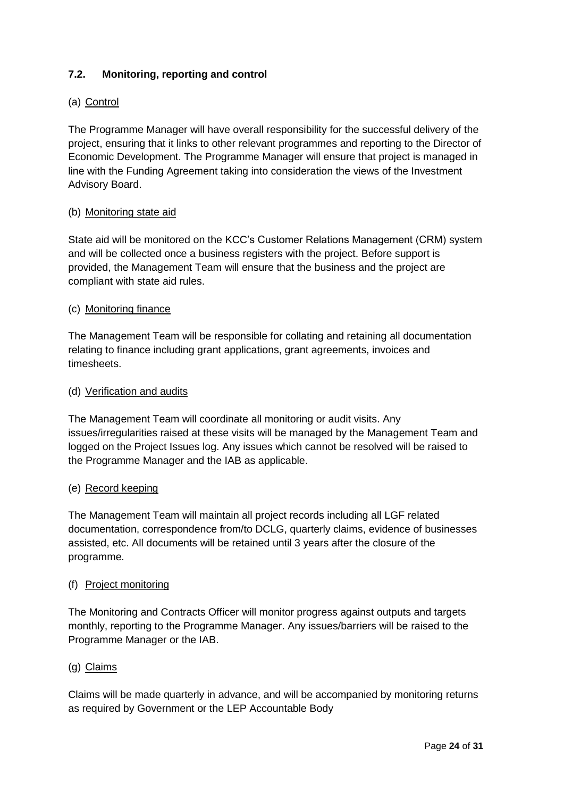# **7.2. Monitoring, reporting and control**

# (a) Control

The Programme Manager will have overall responsibility for the successful delivery of the project, ensuring that it links to other relevant programmes and reporting to the Director of Economic Development. The Programme Manager will ensure that project is managed in line with the Funding Agreement taking into consideration the views of the Investment Advisory Board.

### (b) Monitoring state aid

State aid will be monitored on the KCC's Customer Relations Management (CRM) system and will be collected once a business registers with the project. Before support is provided, the Management Team will ensure that the business and the project are compliant with state aid rules.

### (c) Monitoring finance

The Management Team will be responsible for collating and retaining all documentation relating to finance including grant applications, grant agreements, invoices and timesheets.

### (d) Verification and audits

The Management Team will coordinate all monitoring or audit visits. Any issues/irregularities raised at these visits will be managed by the Management Team and logged on the Project Issues log. Any issues which cannot be resolved will be raised to the Programme Manager and the IAB as applicable.

### (e) Record keeping

The Management Team will maintain all project records including all LGF related documentation, correspondence from/to DCLG, quarterly claims, evidence of businesses assisted, etc. All documents will be retained until 3 years after the closure of the programme.

### (f) Project monitoring

The Monitoring and Contracts Officer will monitor progress against outputs and targets monthly, reporting to the Programme Manager. Any issues/barriers will be raised to the Programme Manager or the IAB.

### (g) Claims

Claims will be made quarterly in advance, and will be accompanied by monitoring returns as required by Government or the LEP Accountable Body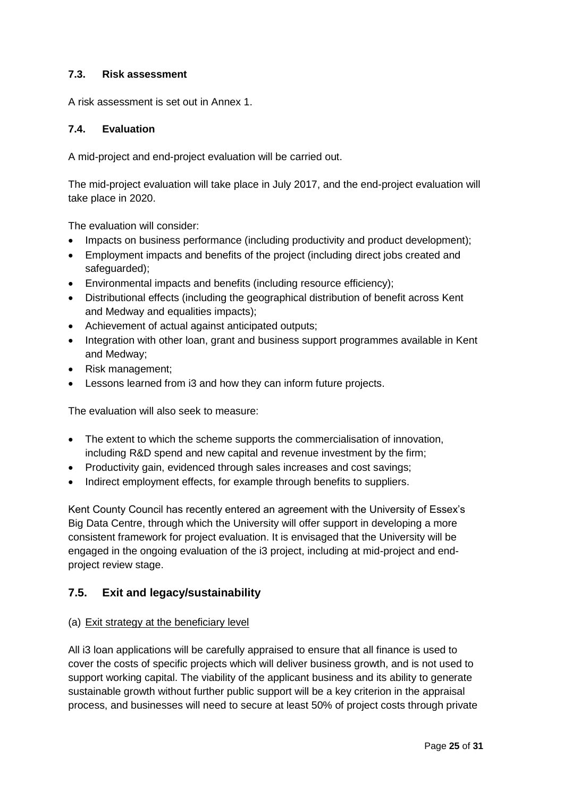# **7.3. Risk assessment**

A risk assessment is set out in Annex 1.

# **7.4. Evaluation**

A mid-project and end-project evaluation will be carried out.

The mid-project evaluation will take place in July 2017, and the end-project evaluation will take place in 2020.

The evaluation will consider:

- Impacts on business performance (including productivity and product development);
- Employment impacts and benefits of the project (including direct jobs created and safeguarded);
- Environmental impacts and benefits (including resource efficiency);
- Distributional effects (including the geographical distribution of benefit across Kent and Medway and equalities impacts);
- Achievement of actual against anticipated outputs;
- Integration with other loan, grant and business support programmes available in Kent and Medway;
- Risk management;
- Lessons learned from i3 and how they can inform future projects.

The evaluation will also seek to measure:

- The extent to which the scheme supports the commercialisation of innovation, including R&D spend and new capital and revenue investment by the firm;
- Productivity gain, evidenced through sales increases and cost savings;
- Indirect employment effects, for example through benefits to suppliers.

Kent County Council has recently entered an agreement with the University of Essex's Big Data Centre, through which the University will offer support in developing a more consistent framework for project evaluation. It is envisaged that the University will be engaged in the ongoing evaluation of the i3 project, including at mid-project and endproject review stage.

# **7.5. Exit and legacy/sustainability**

### (a) Exit strategy at the beneficiary level

All i3 loan applications will be carefully appraised to ensure that all finance is used to cover the costs of specific projects which will deliver business growth, and is not used to support working capital. The viability of the applicant business and its ability to generate sustainable growth without further public support will be a key criterion in the appraisal process, and businesses will need to secure at least 50% of project costs through private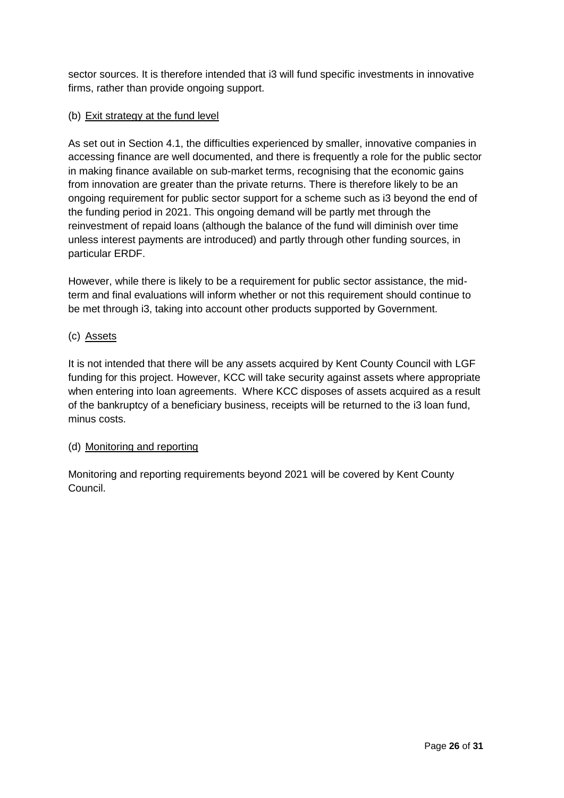sector sources. It is therefore intended that i3 will fund specific investments in innovative firms, rather than provide ongoing support.

# (b) Exit strategy at the fund level

As set out in Section 4.1, the difficulties experienced by smaller, innovative companies in accessing finance are well documented, and there is frequently a role for the public sector in making finance available on sub-market terms, recognising that the economic gains from innovation are greater than the private returns. There is therefore likely to be an ongoing requirement for public sector support for a scheme such as i3 beyond the end of the funding period in 2021. This ongoing demand will be partly met through the reinvestment of repaid loans (although the balance of the fund will diminish over time unless interest payments are introduced) and partly through other funding sources, in particular ERDF.

However, while there is likely to be a requirement for public sector assistance, the midterm and final evaluations will inform whether or not this requirement should continue to be met through i3, taking into account other products supported by Government.

# (c) Assets

It is not intended that there will be any assets acquired by Kent County Council with LGF funding for this project. However, KCC will take security against assets where appropriate when entering into loan agreements. Where KCC disposes of assets acquired as a result of the bankruptcy of a beneficiary business, receipts will be returned to the i3 loan fund, minus costs.

# (d) Monitoring and reporting

Monitoring and reporting requirements beyond 2021 will be covered by Kent County Council.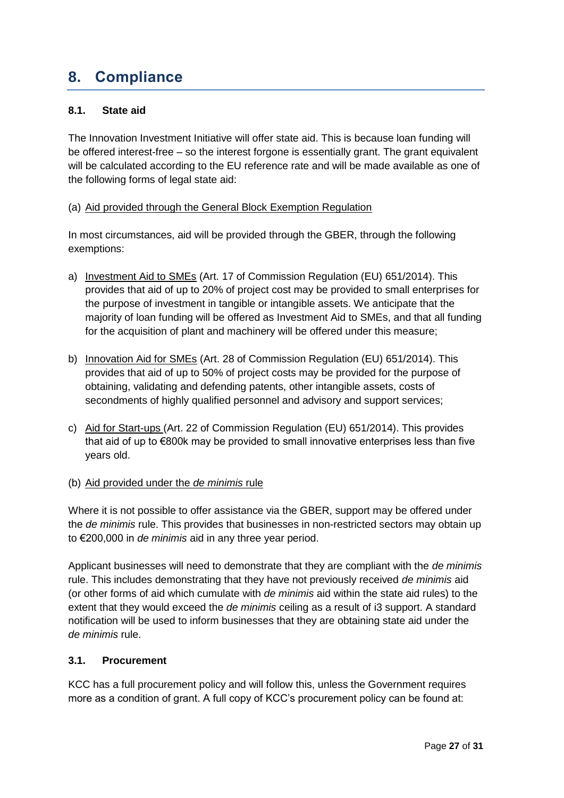# **8. Compliance**

### **8.1. State aid**

The Innovation Investment Initiative will offer state aid. This is because loan funding will be offered interest-free – so the interest forgone is essentially grant. The grant equivalent will be calculated according to the EU reference rate and will be made available as one of the following forms of legal state aid:

### (a) Aid provided through the General Block Exemption Regulation

In most circumstances, aid will be provided through the GBER, through the following exemptions:

- a) Investment Aid to SMEs (Art. 17 of Commission Regulation (EU) 651/2014). This provides that aid of up to 20% of project cost may be provided to small enterprises for the purpose of investment in tangible or intangible assets. We anticipate that the majority of loan funding will be offered as Investment Aid to SMEs, and that all funding for the acquisition of plant and machinery will be offered under this measure;
- b) Innovation Aid for SMEs (Art. 28 of Commission Regulation (EU) 651/2014). This provides that aid of up to 50% of project costs may be provided for the purpose of obtaining, validating and defending patents, other intangible assets, costs of secondments of highly qualified personnel and advisory and support services;
- c) Aid for Start-ups (Art. 22 of Commission Regulation (EU) 651/2014). This provides that aid of up to €800k may be provided to small innovative enterprises less than five years old.

### (b) Aid provided under the *de minimis* rule

Where it is not possible to offer assistance via the GBER, support may be offered under the *de minimis* rule. This provides that businesses in non-restricted sectors may obtain up to €200,000 in *de minimis* aid in any three year period.

Applicant businesses will need to demonstrate that they are compliant with the *de minimis* rule. This includes demonstrating that they have not previously received *de minimis* aid (or other forms of aid which cumulate with *de minimis* aid within the state aid rules) to the extent that they would exceed the *de minimis* ceiling as a result of i3 support. A standard notification will be used to inform businesses that they are obtaining state aid under the *de minimis* rule.

### **3.1. Procurement**

KCC has a full procurement policy and will follow this, unless the Government requires more as a condition of grant. A full copy of KCC's procurement policy can be found at: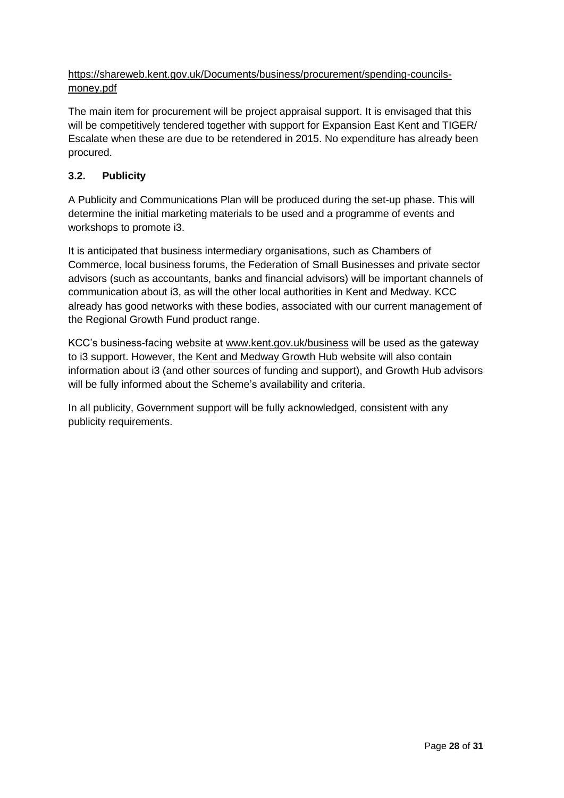# [https://shareweb.kent.gov.uk/Documents/business/procurement/spending-councils](https://shareweb.kent.gov.uk/Documents/business/procurement/spending-councils-money.pdf)[money.pdf](https://shareweb.kent.gov.uk/Documents/business/procurement/spending-councils-money.pdf)

The main item for procurement will be project appraisal support. It is envisaged that this will be competitively tendered together with support for Expansion East Kent and TIGER/ Escalate when these are due to be retendered in 2015. No expenditure has already been procured.

# **3.2. Publicity**

A Publicity and Communications Plan will be produced during the set-up phase. This will determine the initial marketing materials to be used and a programme of events and workshops to promote i3.

It is anticipated that business intermediary organisations, such as Chambers of Commerce, local business forums, the Federation of Small Businesses and private sector advisors (such as accountants, banks and financial advisors) will be important channels of communication about i3, as will the other local authorities in Kent and Medway. KCC already has good networks with these bodies, associated with our current management of the Regional Growth Fund product range.

KCC's business-facing website at [www.kent.gov.uk/business](http://www.kent.gov.uk/business) will be used as the gateway to i3 support. However, the Kent and Medway Growth Hub website will also contain information about i3 (and other sources of funding and support), and Growth Hub advisors will be fully informed about the Scheme's availability and criteria.

In all publicity, Government support will be fully acknowledged, consistent with any publicity requirements.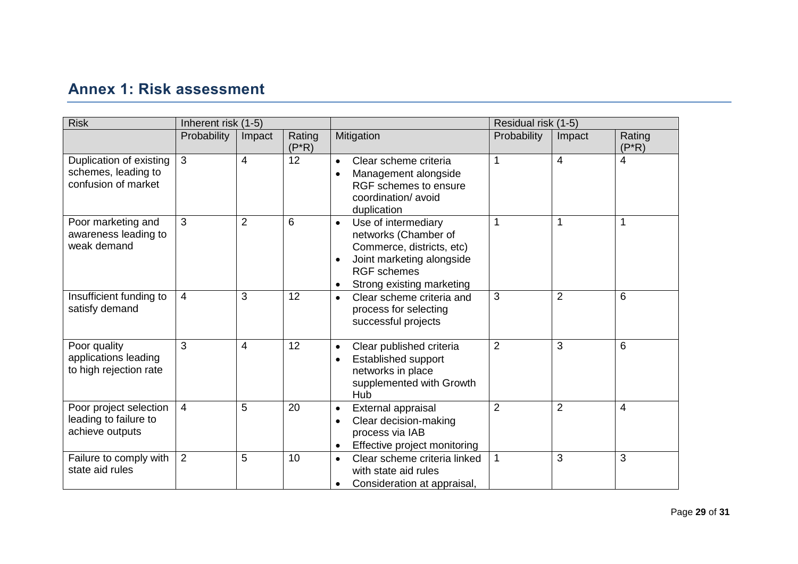# **Annex 1: Risk assessment**

| <b>Risk</b>                                                           | Inherent risk (1-5) |                |                    |                                                                                                                                                                                                 | Residual risk (1-5) |                |                    |
|-----------------------------------------------------------------------|---------------------|----------------|--------------------|-------------------------------------------------------------------------------------------------------------------------------------------------------------------------------------------------|---------------------|----------------|--------------------|
|                                                                       | Probability         | Impact         | Rating<br>$(P^*R)$ | Mitigation                                                                                                                                                                                      | Probability         | Impact         | Rating<br>$(P^*R)$ |
| Duplication of existing<br>schemes, leading to<br>confusion of market | 3                   | 4              | 12                 | Clear scheme criteria<br>$\bullet$<br>Management alongside<br>$\bullet$<br>RGF schemes to ensure<br>coordination/avoid<br>duplication                                                           | 1                   | $\overline{4}$ | 4                  |
| Poor marketing and<br>awareness leading to<br>weak demand             | 3                   | $\overline{2}$ | 6                  | Use of intermediary<br>$\bullet$<br>networks (Chamber of<br>Commerce, districts, etc)<br>Joint marketing alongside<br>$\bullet$<br><b>RGF</b> schemes<br>Strong existing marketing<br>$\bullet$ | 1                   | 1              | 1                  |
| Insufficient funding to<br>satisfy demand                             | $\overline{4}$      | 3              | 12                 | Clear scheme criteria and<br>$\bullet$<br>process for selecting<br>successful projects                                                                                                          | 3                   | $\overline{2}$ | 6                  |
| Poor quality<br>applications leading<br>to high rejection rate        | 3                   | 4              | 12                 | Clear published criteria<br>$\bullet$<br><b>Established support</b><br>$\bullet$<br>networks in place<br>supplemented with Growth<br>Hub                                                        | $\overline{2}$      | 3              | 6                  |
| Poor project selection<br>leading to failure to<br>achieve outputs    | $\overline{4}$      | 5              | 20                 | External appraisal<br>$\bullet$<br>Clear decision-making<br>$\bullet$<br>process via IAB<br>Effective project monitoring<br>٠                                                                   | $\overline{2}$      | $\overline{2}$ | 4                  |
| Failure to comply with<br>state aid rules                             | 2                   | 5              | 10                 | Clear scheme criteria linked<br>$\bullet$<br>with state aid rules<br>Consideration at appraisal,<br>$\bullet$                                                                                   | 1                   | 3              | 3                  |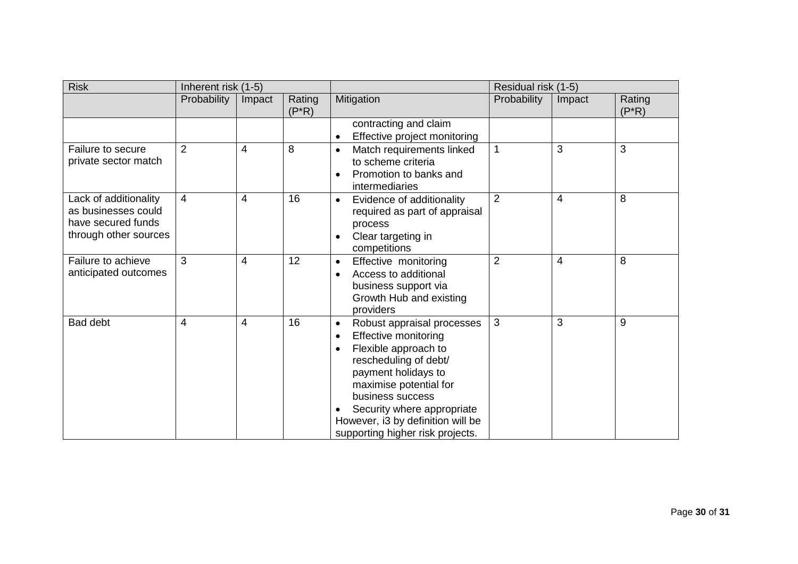| <b>Risk</b>                                                                                 | Inherent risk (1-5) |        |                    |                                                                                                                                                                                                                                                                                                                        | Residual risk (1-5) |                |                    |
|---------------------------------------------------------------------------------------------|---------------------|--------|--------------------|------------------------------------------------------------------------------------------------------------------------------------------------------------------------------------------------------------------------------------------------------------------------------------------------------------------------|---------------------|----------------|--------------------|
|                                                                                             | Probability         | Impact | Rating<br>$(P^*R)$ | Mitigation                                                                                                                                                                                                                                                                                                             | Probability         | Impact         | Rating<br>$(P^*R)$ |
|                                                                                             |                     |        |                    | contracting and claim<br>Effective project monitoring<br>$\bullet$                                                                                                                                                                                                                                                     |                     |                |                    |
| Failure to secure<br>private sector match                                                   | 2                   | 4      | 8                  | Match requirements linked<br>$\bullet$<br>to scheme criteria<br>Promotion to banks and<br>$\bullet$<br>intermediaries                                                                                                                                                                                                  | 1                   | 3              | 3                  |
| Lack of additionality<br>as businesses could<br>have secured funds<br>through other sources | $\overline{4}$      | 4      | 16                 | Evidence of additionality<br>$\bullet$<br>required as part of appraisal<br>process<br>Clear targeting in<br>$\bullet$<br>competitions                                                                                                                                                                                  | $\overline{2}$      | $\overline{4}$ | 8                  |
| Failure to achieve<br>anticipated outcomes                                                  | 3                   | 4      | 12                 | Effective monitoring<br>$\bullet$<br>Access to additional<br>$\bullet$<br>business support via<br>Growth Hub and existing<br>providers                                                                                                                                                                                 | $\overline{2}$      | 4              | 8                  |
| Bad debt                                                                                    | 4                   | 4      | 16                 | Robust appraisal processes<br>$\bullet$<br>Effective monitoring<br>$\bullet$<br>Flexible approach to<br>$\bullet$<br>rescheduling of debt/<br>payment holidays to<br>maximise potential for<br>business success<br>Security where appropriate<br>However, i3 by definition will be<br>supporting higher risk projects. | 3                   | 3              | 9                  |